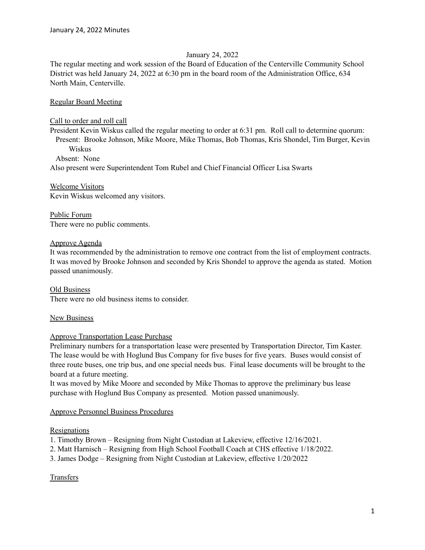### January 24, 2022

The regular meeting and work session of the Board of Education of the Centerville Community School District was held January 24, 2022 at 6:30 pm in the board room of the Administration Office, 634 North Main, Centerville.

Regular Board Meeting

### Call to order and roll call

President Kevin Wiskus called the regular meeting to order at 6:31 pm. Roll call to determine quorum: Present: Brooke Johnson, Mike Moore, Mike Thomas, Bob Thomas, Kris Shondel, Tim Burger, Kevin Wiskus

Absent: None

Also present were Superintendent Tom Rubel and Chief Financial Officer Lisa Swarts

Welcome Visitors Kevin Wiskus welcomed any visitors.

Public Forum There were no public comments.

### Approve Agenda

It was recommended by the administration to remove one contract from the list of employment contracts. It was moved by Brooke Johnson and seconded by Kris Shondel to approve the agenda as stated. Motion passed unanimously.

Old Business There were no old business items to consider.

#### New Business

## Approve Transportation Lease Purchase

Preliminary numbers for a transportation lease were presented by Transportation Director, Tim Kaster. The lease would be with Hoglund Bus Company for five buses for five years. Buses would consist of three route buses, one trip bus, and one special needs bus. Final lease documents will be brought to the board at a future meeting.

It was moved by Mike Moore and seconded by Mike Thomas to approve the preliminary bus lease purchase with Hoglund Bus Company as presented. Motion passed unanimously.

#### Approve Personnel Business Procedures

#### Resignations

1. Timothy Brown – Resigning from Night Custodian at Lakeview, effective 12/16/2021.

2. Matt Harnisch – Resigning from High School Football Coach at CHS effective 1/18/2022.

3. James Dodge – Resigning from Night Custodian at Lakeview, effective 1/20/2022

## **Transfers**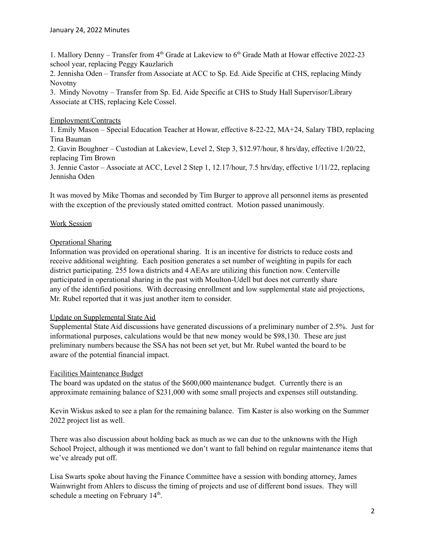1. Mallory Denny - Transfer from 4<sup>th</sup> Grade at Lakeview to 6<sup>th</sup> Grade Math at Howar effective 2022-23 school year, replacing Peggy Kauzlarich

2. Jennisha Oden – Transfer from Associate at ACC to Sp. Ed. Aide Specific at CHS, replacing Mindy Novotny

3. Mindy Novotny – Transfer from Sp. Ed. Aide Specific at CHS to Study Hall Supervisor/Library Associate at CHS, replacing Kele Cossel.

# Employment/Contracts

1. Emily Mason – Special Education Teacher at Howar, effective 8-22-22, MA+24, Salary TBD, replacing Tina Bauman

2. Gavin Boughner – Custodian at Lakeview, Level 2, Step 3, \$12.97/hour, 8 hrs/day, effective 1/20/22, replacing Tim Brown

3. Jennie Castor – Associate at ACC, Level 2 Step 1, 12.17/hour, 7.5 hrs/day, effective 1/11/22, replacing Jennisha Oden

It was moved by Mike Thomas and seconded by Tim Burger to approve all personnel items as presented with the exception of the previously stated omitted contract. Motion passed unanimously.

# Work Session

# Operational Sharing

Information was provided on operational sharing. It is an incentive for districts to reduce costs and receive additional weighting. Each position generates a set number of weighting in pupils for each district participating. 255 Iowa districts and 4 AEAs are utilizing this function now. Centerville participated in operational sharing in the past with Moulton-Udell but does not currently share any of the identified positions. With decreasing enrollment and low supplemental state aid projections, Mr. Rubel reported that it was just another item to consider.

## Update on Supplemental State Aid

Supplemental State Aid discussions have generated discussions of a preliminary number of 2.5%. Just for informational purposes, calculations would be that new money would be \$98,130. These are just preliminary numbers because the SSA has not been set yet, but Mr. Rubel wanted the board to be aware of the potential financial impact.

## Facilities Maintenance Budget

The board was updated on the status of the \$600,000 maintenance budget. Currently there is an approximate remaining balance of \$231,000 with some small projects and expenses still outstanding.

Kevin Wiskus asked to see a plan for the remaining balance. Tim Kaster is also working on the Summer 2022 project list as well.

There was also discussion about holding back as much as we can due to the unknowns with the High School Project, although it was mentioned we don't want to fall behind on regular maintenance items that we've already put off.

Lisa Swarts spoke about having the Finance Committee have a session with bonding attorney, James Wainwright from Ahlers to discuss the timing of projects and use of different bond issues. They will schedule a meeting on February 14<sup>th</sup>.